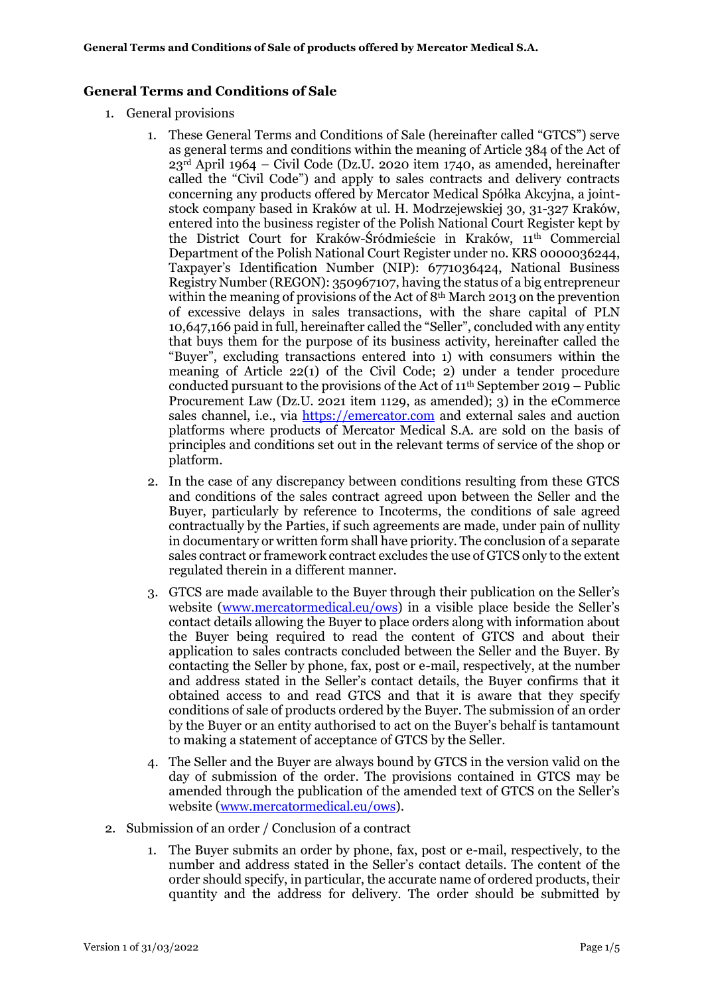## **General Terms and Conditions of Sale**

- 1. General provisions
	- 1. These General Terms and Conditions of Sale (hereinafter called "GTCS") serve as general terms and conditions within the meaning of Article 384 of the Act of 23rd April 1964 – Civil Code (Dz.U. 2020 item 1740, as amended, hereinafter called the "Civil Code") and apply to sales contracts and delivery contracts concerning any products offered by Mercator Medical Spółka Akcyjna, a jointstock company based in Kraków at ul. H. Modrzejewskiej 30, 31-327 Kraków, entered into the business register of the Polish National Court Register kept by the District Court for Kraków-Śródmieście in Kraków, 11th Commercial Department of the Polish National Court Register under no. KRS 0000036244, Taxpayer's Identification Number (NIP): 6771036424, National Business Registry Number (REGON): 350967107, having the status of a big entrepreneur within the meaning of provisions of the Act of  $8<sup>th</sup>$  March 2013 on the prevention of excessive delays in sales transactions, with the share capital of PLN 10,647,166 paid in full, hereinafter called the "Seller", concluded with any entity that buys them for the purpose of its business activity, hereinafter called the "Buyer", excluding transactions entered into 1) with consumers within the meaning of Article 22(1) of the Civil Code; 2) under a tender procedure conducted pursuant to the provisions of the Act of  $11<sup>th</sup>$  September 2019 – Public Procurement Law (Dz.U. 2021 item 1129, as amended); 3) in the eCommerce sales channel, i.e., via [https://emercator.com](https://emercator.com/) and external sales and auction platforms where products of Mercator Medical S.A. are sold on the basis of principles and conditions set out in the relevant terms of service of the shop or platform.
	- 2. In the case of any discrepancy between conditions resulting from these GTCS and conditions of the sales contract agreed upon between the Seller and the Buyer, particularly by reference to Incoterms, the conditions of sale agreed contractually by the Parties, if such agreements are made, under pain of nullity in documentary or written form shall have priority. The conclusion of a separate sales contract or framework contract excludes the use of GTCS only to the extent regulated therein in a different manner.
	- 3. GTCS are made available to the Buyer through their publication on the Seller's website [\(www.mercatormedical.eu/ows](http://www.mercatormedical.eu/ows)) in a visible place beside the Seller's contact details allowing the Buyer to place orders along with information about the Buyer being required to read the content of GTCS and about their application to sales contracts concluded between the Seller and the Buyer. By contacting the Seller by phone, fax, post or e-mail, respectively, at the number and address stated in the Seller's contact details, the Buyer confirms that it obtained access to and read GTCS and that it is aware that they specify conditions of sale of products ordered by the Buyer. The submission of an order by the Buyer or an entity authorised to act on the Buyer's behalf is tantamount to making a statement of acceptance of GTCS by the Seller.
	- 4. The Seller and the Buyer are always bound by GTCS in the version valid on the day of submission of the order. The provisions contained in GTCS may be amended through the publication of the amended text of GTCS on the Seller's website [\(www.mercatormedical.eu/ows\)](http://www.mercatormedical.eu/ows).
- 2. Submission of an order / Conclusion of a contract
	- 1. The Buyer submits an order by phone, fax, post or e-mail, respectively, to the number and address stated in the Seller's contact details. The content of the order should specify, in particular, the accurate name of ordered products, their quantity and the address for delivery. The order should be submitted by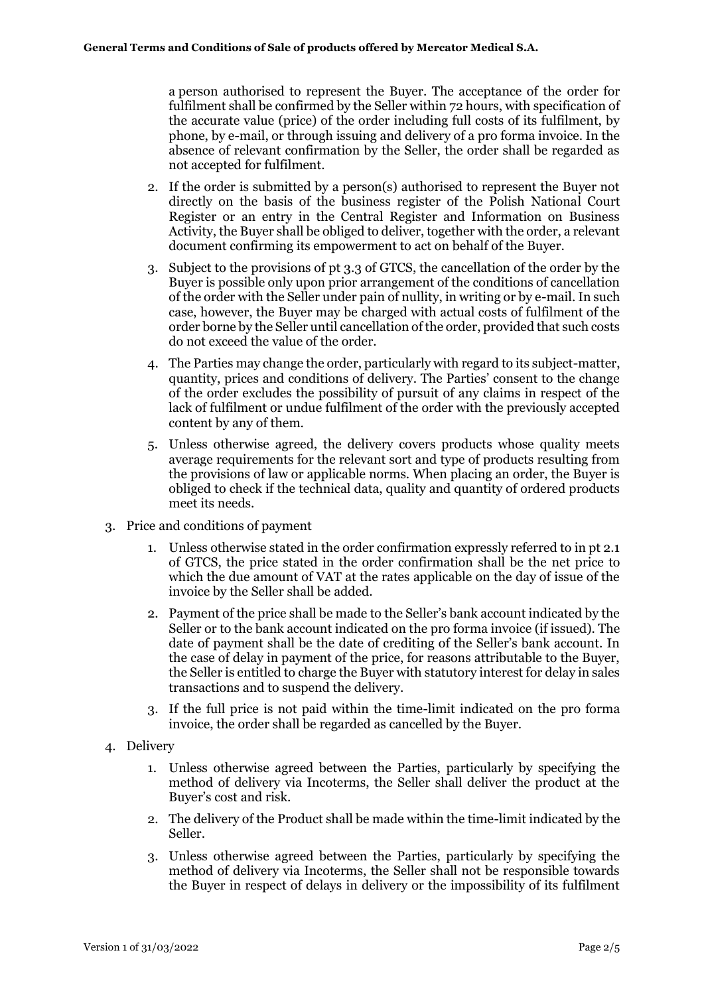a person authorised to represent the Buyer. The acceptance of the order for fulfilment shall be confirmed by the Seller within 72 hours, with specification of the accurate value (price) of the order including full costs of its fulfilment, by phone, by e-mail, or through issuing and delivery of a pro forma invoice. In the absence of relevant confirmation by the Seller, the order shall be regarded as not accepted for fulfilment.

- 2. If the order is submitted by a person(s) authorised to represent the Buyer not directly on the basis of the business register of the Polish National Court Register or an entry in the Central Register and Information on Business Activity, the Buyer shall be obliged to deliver, together with the order, a relevant document confirming its empowerment to act on behalf of the Buyer.
- 3. Subject to the provisions of pt 3.3 of GTCS, the cancellation of the order by the Buyer is possible only upon prior arrangement of the conditions of cancellation of the order with the Seller under pain of nullity, in writing or by e-mail. In such case, however, the Buyer may be charged with actual costs of fulfilment of the order borne by the Seller until cancellation of the order, provided that such costs do not exceed the value of the order.
- 4. The Parties may change the order, particularly with regard to its subject-matter, quantity, prices and conditions of delivery. The Parties' consent to the change of the order excludes the possibility of pursuit of any claims in respect of the lack of fulfilment or undue fulfilment of the order with the previously accepted content by any of them.
- 5. Unless otherwise agreed, the delivery covers products whose quality meets average requirements for the relevant sort and type of products resulting from the provisions of law or applicable norms. When placing an order, the Buyer is obliged to check if the technical data, quality and quantity of ordered products meet its needs.
- 3. Price and conditions of payment
	- 1. Unless otherwise stated in the order confirmation expressly referred to in pt 2.1 of GTCS, the price stated in the order confirmation shall be the net price to which the due amount of VAT at the rates applicable on the day of issue of the invoice by the Seller shall be added.
	- 2. Payment of the price shall be made to the Seller's bank account indicated by the Seller or to the bank account indicated on the pro forma invoice (if issued). The date of payment shall be the date of crediting of the Seller's bank account. In the case of delay in payment of the price, for reasons attributable to the Buyer, the Seller is entitled to charge the Buyer with statutory interest for delay in sales transactions and to suspend the delivery.
	- 3. If the full price is not paid within the time-limit indicated on the pro forma invoice, the order shall be regarded as cancelled by the Buyer.
- 4. Delivery
	- 1. Unless otherwise agreed between the Parties, particularly by specifying the method of delivery via Incoterms, the Seller shall deliver the product at the Buyer's cost and risk.
	- 2. The delivery of the Product shall be made within the time-limit indicated by the Seller.
	- 3. Unless otherwise agreed between the Parties, particularly by specifying the method of delivery via Incoterms, the Seller shall not be responsible towards the Buyer in respect of delays in delivery or the impossibility of its fulfilment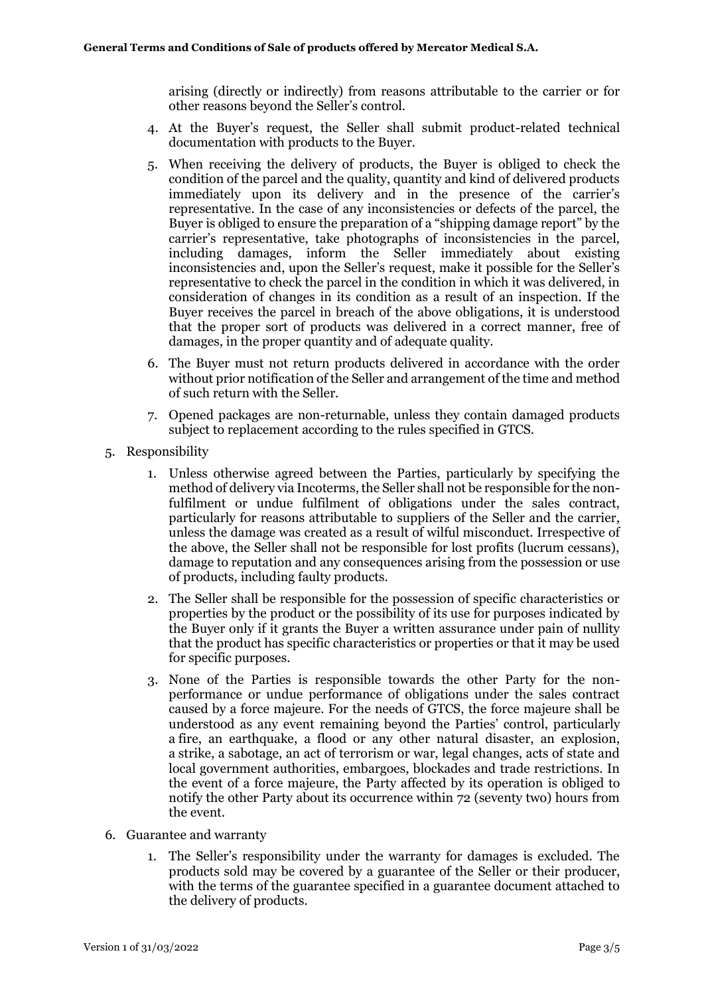arising (directly or indirectly) from reasons attributable to the carrier or for other reasons beyond the Seller's control.

- 4. At the Buyer's request, the Seller shall submit product-related technical documentation with products to the Buyer.
- 5. When receiving the delivery of products, the Buyer is obliged to check the condition of the parcel and the quality, quantity and kind of delivered products immediately upon its delivery and in the presence of the carrier's representative. In the case of any inconsistencies or defects of the parcel, the Buyer is obliged to ensure the preparation of a "shipping damage report" by the carrier's representative, take photographs of inconsistencies in the parcel, including damages, inform the Seller immediately about existing inconsistencies and, upon the Seller's request, make it possible for the Seller's representative to check the parcel in the condition in which it was delivered, in consideration of changes in its condition as a result of an inspection. If the Buyer receives the parcel in breach of the above obligations, it is understood that the proper sort of products was delivered in a correct manner, free of damages, in the proper quantity and of adequate quality.
- 6. The Buyer must not return products delivered in accordance with the order without prior notification of the Seller and arrangement of the time and method of such return with the Seller.
- 7. Opened packages are non-returnable, unless they contain damaged products subject to replacement according to the rules specified in GTCS.
- 5. Responsibility
	- 1. Unless otherwise agreed between the Parties, particularly by specifying the method of delivery via Incoterms, the Seller shall not be responsible for the nonfulfilment or undue fulfilment of obligations under the sales contract, particularly for reasons attributable to suppliers of the Seller and the carrier, unless the damage was created as a result of wilful misconduct. Irrespective of the above, the Seller shall not be responsible for lost profits (lucrum cessans), damage to reputation and any consequences arising from the possession or use of products, including faulty products.
	- 2. The Seller shall be responsible for the possession of specific characteristics or properties by the product or the possibility of its use for purposes indicated by the Buyer only if it grants the Buyer a written assurance under pain of nullity that the product has specific characteristics or properties or that it may be used for specific purposes.
	- 3. None of the Parties is responsible towards the other Party for the nonperformance or undue performance of obligations under the sales contract caused by a force majeure. For the needs of GTCS, the force majeure shall be understood as any event remaining beyond the Parties' control, particularly a fire, an earthquake, a flood or any other natural disaster, an explosion, a strike, a sabotage, an act of terrorism or war, legal changes, acts of state and local government authorities, embargoes, blockades and trade restrictions. In the event of a force majeure, the Party affected by its operation is obliged to notify the other Party about its occurrence within 72 (seventy two) hours from the event.
- 6. Guarantee and warranty
	- 1. The Seller's responsibility under the warranty for damages is excluded. The products sold may be covered by a guarantee of the Seller or their producer, with the terms of the guarantee specified in a guarantee document attached to the delivery of products.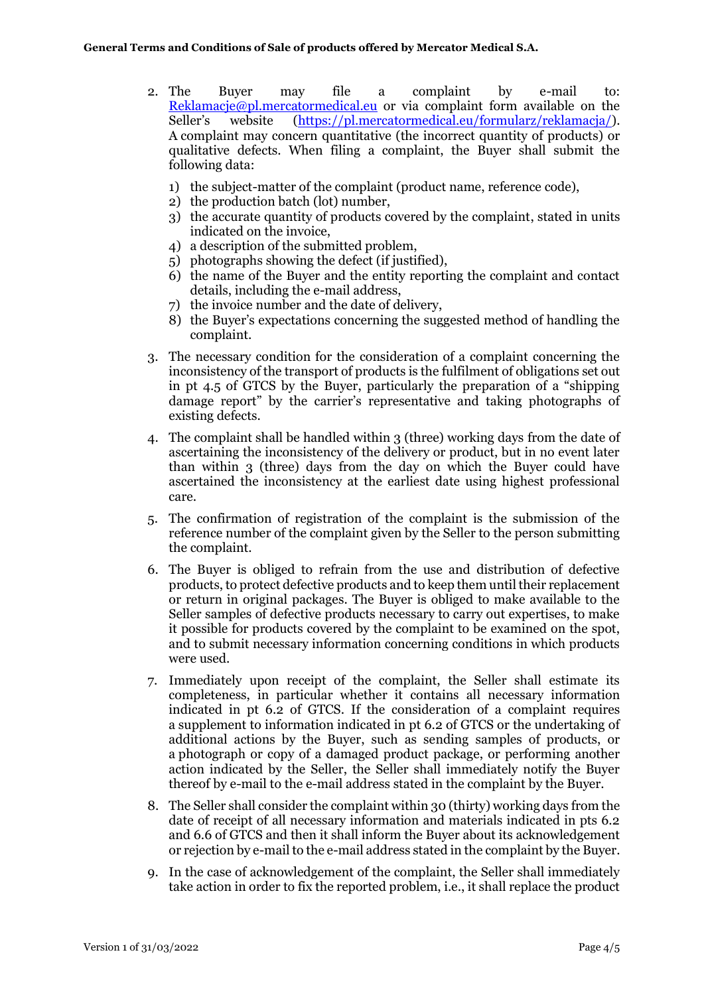- 2. The Buyer may file a complaint by e-mail to: [Reklamacje@pl.mercatormedical.eu](mailto:Reklamacje@pl.mercatormedical.eu) or via complaint form available on the Seller's website ([https://pl.mercatormedical.eu/formularz/reklamacja/\)](https://pl.mercatormedical.eu/formularz/reklamacja/). A complaint may concern quantitative (the incorrect quantity of products) or qualitative defects. When filing a complaint, the Buyer shall submit the following data:
	- 1) the subject-matter of the complaint (product name, reference code),
	- 2) the production batch (lot) number,
	- 3) the accurate quantity of products covered by the complaint, stated in units indicated on the invoice,
	- 4) a description of the submitted problem,
	- 5) photographs showing the defect (if justified),
	- 6) the name of the Buyer and the entity reporting the complaint and contact details, including the e-mail address,
	- 7) the invoice number and the date of delivery,
	- 8) the Buyer's expectations concerning the suggested method of handling the complaint.
- 3. The necessary condition for the consideration of a complaint concerning the inconsistency of the transport of products is the fulfilment of obligations set out in pt 4.5 of GTCS by the Buyer, particularly the preparation of a "shipping damage report" by the carrier's representative and taking photographs of existing defects.
- 4. The complaint shall be handled within 3 (three) working days from the date of ascertaining the inconsistency of the delivery or product, but in no event later than within 3 (three) days from the day on which the Buyer could have ascertained the inconsistency at the earliest date using highest professional care.
- 5. The confirmation of registration of the complaint is the submission of the reference number of the complaint given by the Seller to the person submitting the complaint.
- 6. The Buyer is obliged to refrain from the use and distribution of defective products, to protect defective products and to keep them until their replacement or return in original packages. The Buyer is obliged to make available to the Seller samples of defective products necessary to carry out expertises, to make it possible for products covered by the complaint to be examined on the spot, and to submit necessary information concerning conditions in which products were used.
- 7. Immediately upon receipt of the complaint, the Seller shall estimate its completeness, in particular whether it contains all necessary information indicated in pt 6.2 of GTCS. If the consideration of a complaint requires a supplement to information indicated in pt 6.2 of GTCS or the undertaking of additional actions by the Buyer, such as sending samples of products, or a photograph or copy of a damaged product package, or performing another action indicated by the Seller, the Seller shall immediately notify the Buyer thereof by e-mail to the e-mail address stated in the complaint by the Buyer.
- 8. The Seller shall consider the complaint within 30 (thirty) working days from the date of receipt of all necessary information and materials indicated in pts 6.2 and 6.6 of GTCS and then it shall inform the Buyer about its acknowledgement or rejection by e-mail to the e-mail address stated in the complaint by the Buyer.
- 9. In the case of acknowledgement of the complaint, the Seller shall immediately take action in order to fix the reported problem, i.e., it shall replace the product